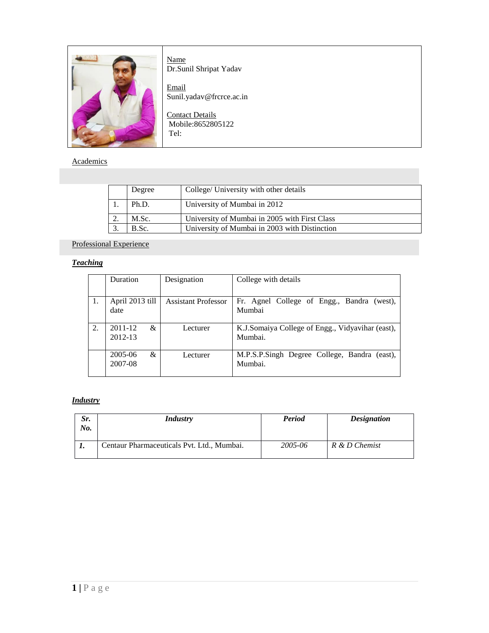

Name Dr.Sunil Shripat Yadav

**Email** Sunil.yadav@frcrce.ac.in

Contact Details Mobile:8652805122 Tel:

#### **Academics**

|          | Degree | College/ University with other details        |
|----------|--------|-----------------------------------------------|
|          | Ph.D.  | University of Mumbai in 2012                  |
| <u>.</u> | M.Sc.  | University of Mumbai in 2005 with First Class |
|          | B.Sc.  | University of Mumbai in 2003 with Distinction |

## Professional Experience

## *Teaching*

|    | <b>Duration</b>         | Designation                | College with details                                        |
|----|-------------------------|----------------------------|-------------------------------------------------------------|
| 1. | April 2013 till<br>date | <b>Assistant Professor</b> | Fr. Agnel College of Engg., Bandra<br>$(west)$ ,<br>Mumbai  |
| 2. | 2011-12<br>&<br>2012-13 | Lecturer                   | K.J.Somaiya College of Engg., Vidyavihar (east),<br>Mumbai. |
|    | 2005-06<br>&<br>2007-08 | Lecturer                   | M.P.S.P.Singh Degree College, Bandra (east),<br>Mumbai.     |

#### *Industry*

| Sr.<br>No. | <i>Industry</i>                            | Period  | <b>Designation</b> |
|------------|--------------------------------------------|---------|--------------------|
| ı.         | Centaur Pharmaceuticals Pvt. Ltd., Mumbai. | 2005-06 | R & D Chemist      |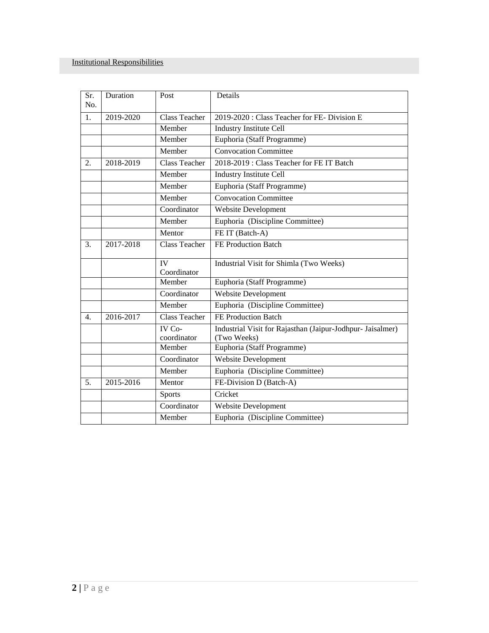| Sr.<br>No.       | Duration  | Post                  | Details                                                                   |
|------------------|-----------|-----------------------|---------------------------------------------------------------------------|
| 1.               | 2019-2020 | <b>Class Teacher</b>  | 2019-2020 : Class Teacher for FE- Division E                              |
|                  |           | Member                | <b>Industry Institute Cell</b>                                            |
|                  |           | Member                | Euphoria (Staff Programme)                                                |
|                  |           | Member                | <b>Convocation Committee</b>                                              |
| 2.               | 2018-2019 | <b>Class Teacher</b>  | 2018-2019: Class Teacher for FE IT Batch                                  |
|                  |           | Member                | <b>Industry Institute Cell</b>                                            |
|                  |           | Member                | Euphoria (Staff Programme)                                                |
|                  |           | Member                | <b>Convocation Committee</b>                                              |
|                  |           | Coordinator           | <b>Website Development</b>                                                |
|                  |           | Member                | Euphoria (Discipline Committee)                                           |
|                  |           | Mentor                | FE IT (Batch-A)                                                           |
| 3.               | 2017-2018 | <b>Class Teacher</b>  | FE Production Batch                                                       |
|                  |           | IV<br>Coordinator     | Industrial Visit for Shimla (Two Weeks)                                   |
|                  |           | Member                | Euphoria (Staff Programme)                                                |
|                  |           | Coordinator           | <b>Website Development</b>                                                |
|                  |           | Member                | Euphoria (Discipline Committee)                                           |
| $\overline{4}$ . | 2016-2017 | <b>Class Teacher</b>  | FE Production Batch                                                       |
|                  |           | IV Co-<br>coordinator | Industrial Visit for Rajasthan (Jaipur-Jodhpur- Jaisalmer)<br>(Two Weeks) |
|                  |           | Member                | Euphoria (Staff Programme)                                                |
|                  |           | Coordinator           | <b>Website Development</b>                                                |
|                  |           | Member                | Euphoria (Discipline Committee)                                           |
| 5.               | 2015-2016 | Mentor                | FE-Division D (Batch-A)                                                   |
|                  |           | <b>Sports</b>         | Cricket                                                                   |
|                  |           | Coordinator           | Website Development                                                       |
|                  |           | Member                | Euphoria (Discipline Committee)                                           |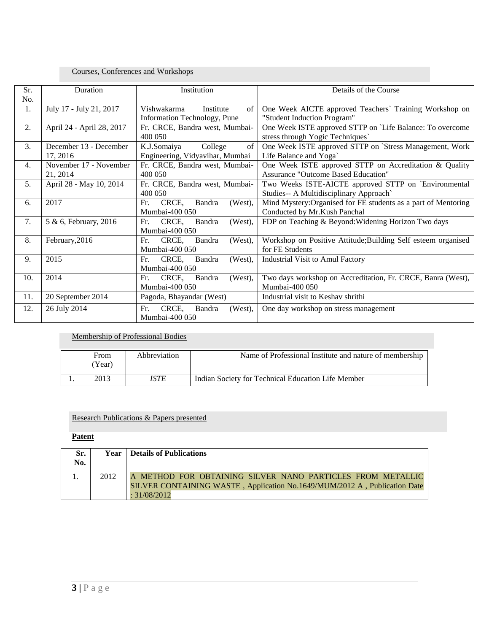### Courses, Conferences and Workshops

| Sr.              | Duration                  | Details of the Course<br>Institution                                                                |
|------------------|---------------------------|-----------------------------------------------------------------------------------------------------|
| No.              |                           |                                                                                                     |
| 1.               | July 17 - July 21, 2017   | Vishwakarma<br>Institute<br>One Week AICTE approved Teachers' Training Workshop on<br>of            |
|                  |                           | "Student Induction Program"<br>Information Technology, Pune                                         |
| 2.               | April 24 - April 28, 2017 | One Week ISTE approved STTP on `Life Balance: To overcome<br>Fr. CRCE, Bandra west, Mumbai-         |
|                  |                           | 400 050<br>stress through Yogic Techniques                                                          |
| 3.               | December 13 - December    | K.J.Somaiya<br>One Week ISTE approved STTP on `Stress Management, Work<br>College<br>of             |
|                  | 17, 2016                  | Engineering, Vidyavihar, Mumbai<br>Life Balance and Yoga                                            |
| $\overline{4}$ . | November 17 - November    | Fr. CRCE, Bandra west, Mumbai-<br>One Week ISTE approved STTP on Accreditation & Quality            |
|                  | 21, 2014                  | <b>Assurance "Outcome Based Education"</b><br>400 050                                               |
| 5.               | April 28 - May 10, 2014   | Fr. CRCE, Bandra west, Mumbai-<br>Two Weeks ISTE-AICTE approved STTP on `Environmental              |
|                  |                           | 400 050<br>Studies-- A Multidisciplinary Approach`                                                  |
| 6.               | 2017                      | Fr.<br>CRCE,<br>Bandra<br>(West),<br>Mind Mystery: Organised for FE students as a part of Mentoring |
|                  |                           | Mumbai-400 050<br>Conducted by Mr.Kush Panchal                                                      |
| 7.               | 5 & 6, February, 2016     | (West),<br>FDP on Teaching & Beyond: Widening Horizon Two days<br>CRCE.<br>Bandra<br>Fr.            |
|                  |                           | Mumbai-400 050                                                                                      |
| 8.               | February, 2016            | CRCE,<br>Fr.<br>Bandra<br>(West),<br>Workshop on Positive Attitude; Building Self esteem organised  |
|                  |                           | for FE Students<br>Mumbai-400 050                                                                   |
| 9.               | 2015                      | (West),<br><b>Industrial Visit to Amul Factory</b><br>CRCE,<br>Bandra<br>Fr.                        |
|                  |                           | Mumbai-400 050                                                                                      |
| 10.              | 2014                      | Two days workshop on Accreditation, Fr. CRCE, Banra (West),<br>CRCE,<br>Bandra<br>(West),<br>Fr.    |
|                  |                           | Mumbai-400 050<br>Mumbai-400 050                                                                    |
| 11.              | 20 September 2014         | Pagoda, Bhayandar (West)<br>Industrial visit to Keshav shrithi                                      |
| 12.              | 26 July 2014              | CRCE,<br>Fr.<br>Bandra<br>(West),<br>One day workshop on stress management                          |
|                  |                           | Mumbai-400 050                                                                                      |

### Membership of Professional Bodies

| From<br>Year) | Abbreviation | Name of Professional Institute and nature of membership |
|---------------|--------------|---------------------------------------------------------|
| 2013          | <i>ISTE</i>  | Indian Society for Technical Education Life Member      |

#### Research Publications & Papers presented

### **Patent**

| Sr.<br>No. | Year | Details of Publications                                                                                                                 |
|------------|------|-----------------------------------------------------------------------------------------------------------------------------------------|
|            | 2012 | A METHOD FOR OBTAINING SILVER NANO PARTICLES FROM METALLIC<br>SILVER CONTAINING WASTE, Application No.1649/MUM/2012 A, Publication Date |
|            |      | : 31/08/2012                                                                                                                            |